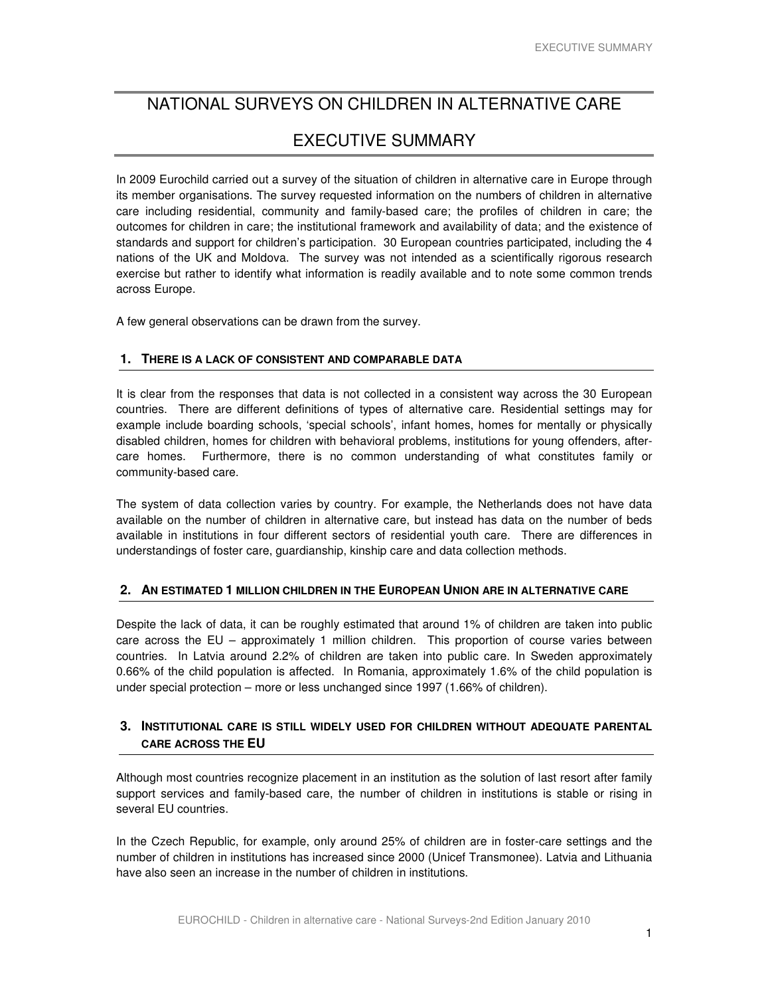# NATIONAL SURVEYS ON CHILDREN IN ALTERNATIVE CARE

# EXECUTIVE SUMMARY

In 2009 Eurochild carried out a survey of the situation of children in alternative care in Europe through its member organisations. The survey requested information on the numbers of children in alternative care including residential, community and family-based care; the profiles of children in care; the outcomes for children in care; the institutional framework and availability of data; and the existence of standards and support for children's participation. 30 European countries participated, including the 4 nations of the UK and Moldova. The survey was not intended as a scientifically rigorous research exercise but rather to identify what information is readily available and to note some common trends across Europe.

A few general observations can be drawn from the survey.

#### **1. THERE IS A LACK OF CONSISTENT AND COMPARABLE DATA**

It is clear from the responses that data is not collected in a consistent way across the 30 European countries. There are different definitions of types of alternative care. Residential settings may for example include boarding schools, 'special schools', infant homes, homes for mentally or physically disabled children, homes for children with behavioral problems, institutions for young offenders, aftercare homes. Furthermore, there is no common understanding of what constitutes family or community-based care.

The system of data collection varies by country. For example, the Netherlands does not have data available on the number of children in alternative care, but instead has data on the number of beds available in institutions in four different sectors of residential youth care. There are differences in understandings of foster care, guardianship, kinship care and data collection methods.

#### **2. AN ESTIMATED 1 MILLION CHILDREN IN THE EUROPEAN UNION ARE IN ALTERNATIVE CARE**

Despite the lack of data, it can be roughly estimated that around 1% of children are taken into public care across the EU – approximately 1 million children. This proportion of course varies between countries. In Latvia around 2.2% of children are taken into public care. In Sweden approximately 0.66% of the child population is affected. In Romania, approximately 1.6% of the child population is under special protection – more or less unchanged since 1997 (1.66% of children).

### **3. INSTITUTIONAL CARE IS STILL WIDELY USED FOR CHILDREN WITHOUT ADEQUATE PARENTAL CARE ACROSS THE EU**

Although most countries recognize placement in an institution as the solution of last resort after family support services and family-based care, the number of children in institutions is stable or rising in several EU countries.

In the Czech Republic, for example, only around 25% of children are in foster-care settings and the number of children in institutions has increased since 2000 (Unicef Transmonee). Latvia and Lithuania have also seen an increase in the number of children in institutions.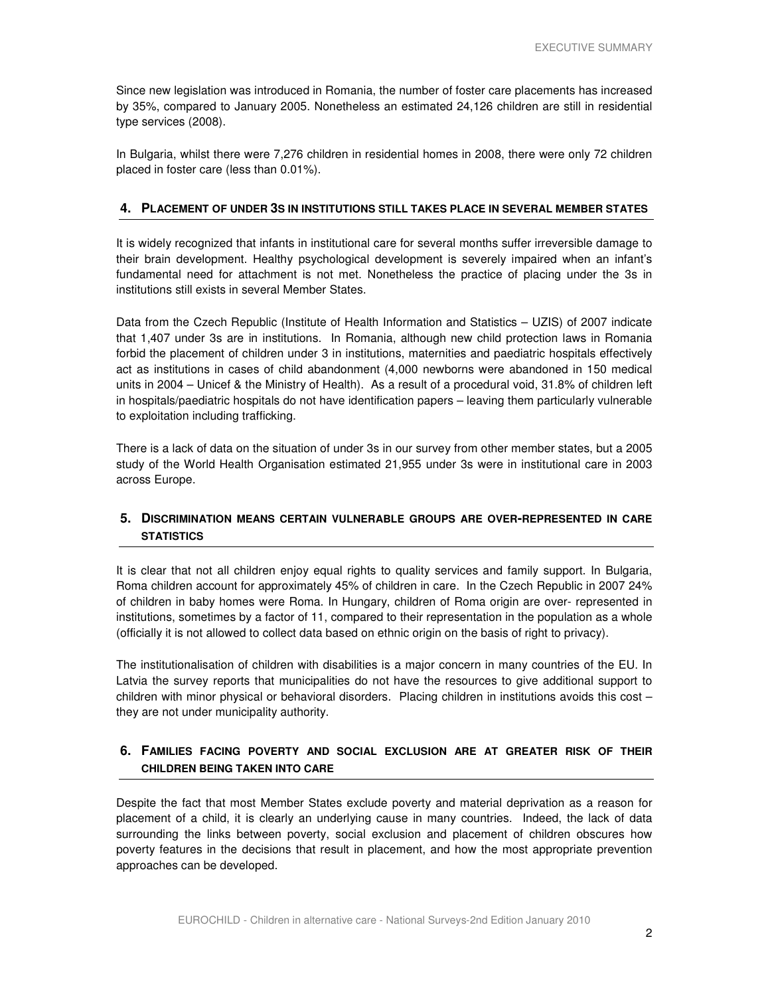Since new legislation was introduced in Romania, the number of foster care placements has increased by 35%, compared to January 2005. Nonetheless an estimated 24,126 children are still in residential type services (2008).

In Bulgaria, whilst there were 7,276 children in residential homes in 2008, there were only 72 children placed in foster care (less than 0.01%).

### **4. PLACEMENT OF UNDER 3S IN INSTITUTIONS STILL TAKES PLACE IN SEVERAL MEMBER STATES**

It is widely recognized that infants in institutional care for several months suffer irreversible damage to their brain development. Healthy psychological development is severely impaired when an infant's fundamental need for attachment is not met. Nonetheless the practice of placing under the 3s in institutions still exists in several Member States.

Data from the Czech Republic (Institute of Health Information and Statistics – UZIS) of 2007 indicate that 1,407 under 3s are in institutions. In Romania, although new child protection laws in Romania forbid the placement of children under 3 in institutions, maternities and paediatric hospitals effectively act as institutions in cases of child abandonment (4,000 newborns were abandoned in 150 medical units in 2004 – Unicef & the Ministry of Health). As a result of a procedural void, 31.8% of children left in hospitals/paediatric hospitals do not have identification papers – leaving them particularly vulnerable to exploitation including trafficking.

There is a lack of data on the situation of under 3s in our survey from other member states, but a 2005 study of the World Health Organisation estimated 21,955 under 3s were in institutional care in 2003 across Europe.

## **5. DISCRIMINATION MEANS CERTAIN VULNERABLE GROUPS ARE OVER-REPRESENTED IN CARE STATISTICS**

It is clear that not all children enjoy equal rights to quality services and family support. In Bulgaria, Roma children account for approximately 45% of children in care. In the Czech Republic in 2007 24% of children in baby homes were Roma. In Hungary, children of Roma origin are over- represented in institutions, sometimes by a factor of 11, compared to their representation in the population as a whole (officially it is not allowed to collect data based on ethnic origin on the basis of right to privacy).

The institutionalisation of children with disabilities is a major concern in many countries of the EU. In Latvia the survey reports that municipalities do not have the resources to give additional support to children with minor physical or behavioral disorders. Placing children in institutions avoids this cost – they are not under municipality authority.

# **6. FAMILIES FACING POVERTY AND SOCIAL EXCLUSION ARE AT GREATER RISK OF THEIR CHILDREN BEING TAKEN INTO CARE**

Despite the fact that most Member States exclude poverty and material deprivation as a reason for placement of a child, it is clearly an underlying cause in many countries. Indeed, the lack of data surrounding the links between poverty, social exclusion and placement of children obscures how poverty features in the decisions that result in placement, and how the most appropriate prevention approaches can be developed.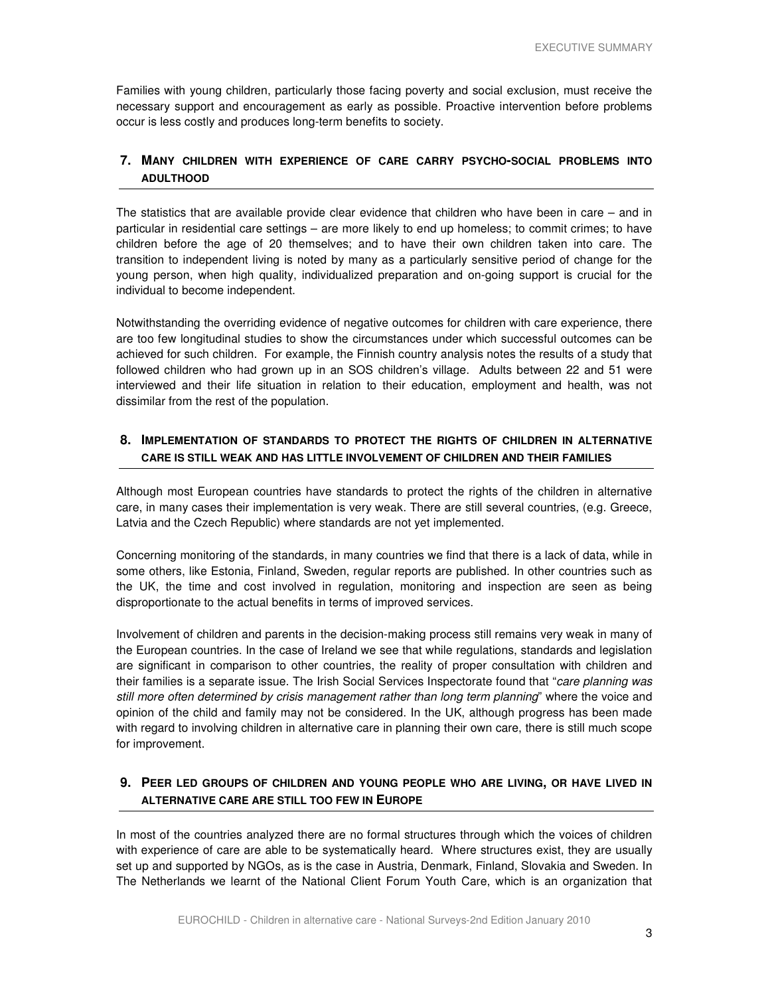Families with young children, particularly those facing poverty and social exclusion, must receive the necessary support and encouragement as early as possible. Proactive intervention before problems occur is less costly and produces long-term benefits to society.

## **7. MANY CHILDREN WITH EXPERIENCE OF CARE CARRY PSYCHO-SOCIAL PROBLEMS INTO ADULTHOOD**

The statistics that are available provide clear evidence that children who have been in care – and in particular in residential care settings – are more likely to end up homeless; to commit crimes; to have children before the age of 20 themselves; and to have their own children taken into care. The transition to independent living is noted by many as a particularly sensitive period of change for the young person, when high quality, individualized preparation and on-going support is crucial for the individual to become independent.

Notwithstanding the overriding evidence of negative outcomes for children with care experience, there are too few longitudinal studies to show the circumstances under which successful outcomes can be achieved for such children. For example, the Finnish country analysis notes the results of a study that followed children who had grown up in an SOS children's village. Adults between 22 and 51 were interviewed and their life situation in relation to their education, employment and health, was not dissimilar from the rest of the population.

## **8. IMPLEMENTATION OF STANDARDS TO PROTECT THE RIGHTS OF CHILDREN IN ALTERNATIVE CARE IS STILL WEAK AND HAS LITTLE INVOLVEMENT OF CHILDREN AND THEIR FAMILIES**

Although most European countries have standards to protect the rights of the children in alternative care, in many cases their implementation is very weak. There are still several countries, (e.g. Greece, Latvia and the Czech Republic) where standards are not yet implemented.

Concerning monitoring of the standards, in many countries we find that there is a lack of data, while in some others, like Estonia, Finland, Sweden, regular reports are published. In other countries such as the UK, the time and cost involved in regulation, monitoring and inspection are seen as being disproportionate to the actual benefits in terms of improved services.

Involvement of children and parents in the decision-making process still remains very weak in many of the European countries. In the case of Ireland we see that while regulations, standards and legislation are significant in comparison to other countries, the reality of proper consultation with children and their families is a separate issue. The Irish Social Services Inspectorate found that "care planning was still more often determined by crisis management rather than long term planning" where the voice and opinion of the child and family may not be considered. In the UK, although progress has been made with regard to involving children in alternative care in planning their own care, there is still much scope for improvement.

# **9. PEER LED GROUPS OF CHILDREN AND YOUNG PEOPLE WHO ARE LIVING, OR HAVE LIVED IN ALTERNATIVE CARE ARE STILL TOO FEW IN EUROPE**

In most of the countries analyzed there are no formal structures through which the voices of children with experience of care are able to be systematically heard. Where structures exist, they are usually set up and supported by NGOs, as is the case in Austria, Denmark, Finland, Slovakia and Sweden. In The Netherlands we learnt of the National Client Forum Youth Care, which is an organization that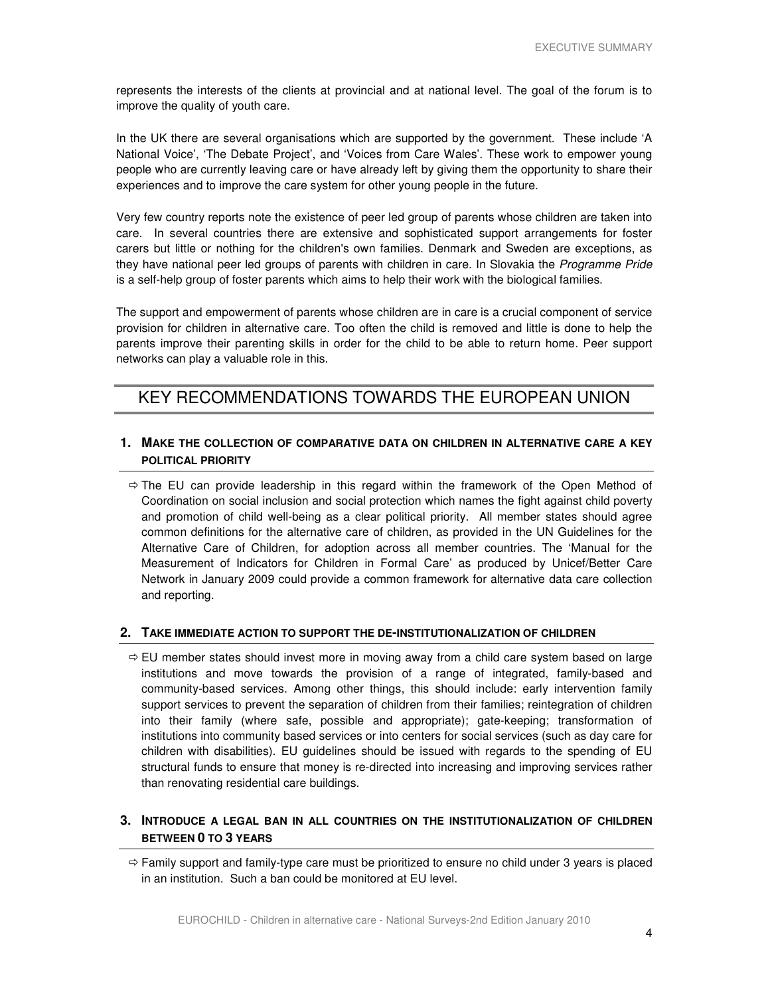represents the interests of the clients at provincial and at national level. The goal of the forum is to improve the quality of youth care.

In the UK there are several organisations which are supported by the government. These include 'A National Voice', 'The Debate Project', and 'Voices from Care Wales'. These work to empower young people who are currently leaving care or have already left by giving them the opportunity to share their experiences and to improve the care system for other young people in the future.

Very few country reports note the existence of peer led group of parents whose children are taken into care. In several countries there are extensive and sophisticated support arrangements for foster carers but little or nothing for the children's own families. Denmark and Sweden are exceptions, as they have national peer led groups of parents with children in care. In Slovakia the Programme Pride is a self-help group of foster parents which aims to help their work with the biological families.

The support and empowerment of parents whose children are in care is a crucial component of service provision for children in alternative care. Too often the child is removed and little is done to help the parents improve their parenting skills in order for the child to be able to return home. Peer support networks can play a valuable role in this.

# KEY RECOMMENDATIONS TOWARDS THE EUROPEAN UNION

## **1. MAKE THE COLLECTION OF COMPARATIVE DATA ON CHILDREN IN ALTERNATIVE CARE A KEY POLITICAL PRIORITY**

 $\Rightarrow$  The EU can provide leadership in this regard within the framework of the Open Method of Coordination on social inclusion and social protection which names the fight against child poverty and promotion of child well-being as a clear political priority. All member states should agree common definitions for the alternative care of children, as provided in the UN Guidelines for the Alternative Care of Children, for adoption across all member countries. The 'Manual for the Measurement of Indicators for Children in Formal Care' as produced by Unicef/Better Care Network in January 2009 could provide a common framework for alternative data care collection and reporting.

#### **2. TAKE IMMEDIATE ACTION TO SUPPORT THE DE-INSTITUTIONALIZATION OF CHILDREN**

 $\Rightarrow$  EU member states should invest more in moving away from a child care system based on large institutions and move towards the provision of a range of integrated, family-based and community-based services. Among other things, this should include: early intervention family support services to prevent the separation of children from their families; reintegration of children into their family (where safe, possible and appropriate); gate-keeping; transformation of institutions into community based services or into centers for social services (such as day care for children with disabilities). EU guidelines should be issued with regards to the spending of EU structural funds to ensure that money is re-directed into increasing and improving services rather than renovating residential care buildings.

## **3. INTRODUCE A LEGAL BAN IN ALL COUNTRIES ON THE INSTITUTIONALIZATION OF CHILDREN BETWEEN 0 TO 3 YEARS**

 $\Rightarrow$  Family support and family-type care must be prioritized to ensure no child under 3 years is placed in an institution. Such a ban could be monitored at EU level.